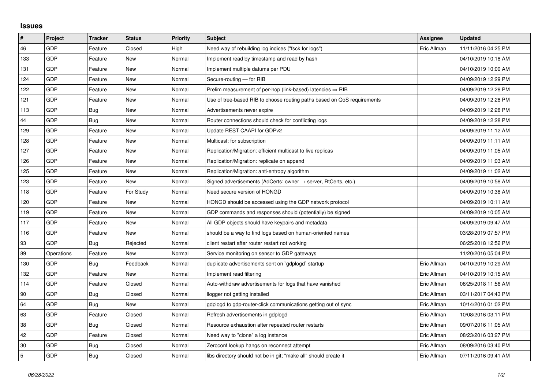## **Issues**

| $\sharp$       | Project    | <b>Tracker</b> | <b>Status</b> | <b>Priority</b> | <b>Subject</b>                                                          | <b>Assignee</b> | <b>Updated</b>      |
|----------------|------------|----------------|---------------|-----------------|-------------------------------------------------------------------------|-----------------|---------------------|
| 46             | GDP        | Feature        | Closed        | High            | Need way of rebuilding log indices ("fsck for logs")                    | Eric Allman     | 11/11/2016 04:25 PM |
| 133            | GDP        | Feature        | New           | Normal          | Implement read by timestamp and read by hash                            |                 | 04/10/2019 10:18 AM |
| 131            | GDP        | Feature        | New           | Normal          | Implement multiple datums per PDU                                       |                 | 04/10/2019 10:00 AM |
| 124            | GDP        | Feature        | New           | Normal          | Secure-routing - for RIB                                                |                 | 04/09/2019 12:29 PM |
| 122            | GDP        | Feature        | New           | Normal          | Prelim measurement of per-hop (link-based) latencies $\Rightarrow$ RIB  |                 | 04/09/2019 12:28 PM |
| 121            | GDP        | Feature        | New           | Normal          | Use of tree-based RIB to choose routing paths based on QoS requirements |                 | 04/09/2019 12:28 PM |
| 113            | GDP        | Bug            | New           | Normal          | Advertisements never expire                                             |                 | 04/09/2019 12:28 PM |
| 44             | GDP        | Bug            | New           | Normal          | Router connections should check for conflicting logs                    |                 | 04/09/2019 12:28 PM |
| 129            | GDP        | Feature        | New           | Normal          | Update REST CAAPI for GDPv2                                             |                 | 04/09/2019 11:12 AM |
| 128            | GDP        | Feature        | <b>New</b>    | Normal          | Multicast: for subscription                                             |                 | 04/09/2019 11:11 AM |
| 127            | GDP        | Feature        | <b>New</b>    | Normal          | Replication/Migration: efficient multicast to live replicas             |                 | 04/09/2019 11:05 AM |
| 126            | GDP        | Feature        | New           | Normal          | Replication/Migration: replicate on append                              |                 | 04/09/2019 11:03 AM |
| 125            | GDP        | Feature        | <b>New</b>    | Normal          | Replication/Migration: anti-entropy algorithm                           |                 | 04/09/2019 11:02 AM |
| 123            | GDP        | Feature        | New           | Normal          | Signed advertisements (AdCerts: owner → server, RtCerts, etc.)          |                 | 04/09/2019 10:58 AM |
| 118            | GDP        | Feature        | For Study     | Normal          | Need secure version of HONGD                                            |                 | 04/09/2019 10:38 AM |
| 120            | GDP        | Feature        | <b>New</b>    | Normal          | HONGD should be accessed using the GDP network protocol                 |                 | 04/09/2019 10:11 AM |
| 119            | GDP        | Feature        | New           | Normal          | GDP commands and responses should (potentially) be signed               |                 | 04/09/2019 10:05 AM |
| 117            | GDP        | Feature        | New           | Normal          | All GDP objects should have keypairs and metadata                       |                 | 04/09/2019 09:47 AM |
| 116            | GDP        | Feature        | New           | Normal          | should be a way to find logs based on human-oriented names              |                 | 03/28/2019 07:57 PM |
| 93             | GDP        | Bug            | Rejected      | Normal          | client restart after router restart not working                         |                 | 06/25/2018 12:52 PM |
| 89             | Operations | Feature        | New           | Normal          | Service monitoring on sensor to GDP gateways                            |                 | 11/20/2016 05:04 PM |
| 130            | GDP        | <b>Bug</b>     | Feedback      | Normal          | duplicate advertisements sent on `gdplogd` startup                      | Eric Allman     | 04/10/2019 10:29 AM |
| 132            | GDP        | Feature        | New           | Normal          | Implement read filtering                                                | Eric Allman     | 04/10/2019 10:15 AM |
| 114            | GDP        | Feature        | Closed        | Normal          | Auto-withdraw advertisements for logs that have vanished                | Eric Allman     | 06/25/2018 11:56 AM |
| 90             | GDP        | Bug            | Closed        | Normal          | llogger not getting installed                                           | Eric Allman     | 03/11/2017 04:43 PM |
| 64             | GDP        | Bug            | New           | Normal          | gdplogd to gdp-router-click communications getting out of sync          | Eric Allman     | 10/14/2016 01:02 PM |
| 63             | <b>GDP</b> | Feature        | Closed        | Normal          | Refresh advertisements in gdplogd                                       | Eric Allman     | 10/08/2016 03:11 PM |
| 38             | GDP        | Bug            | Closed        | Normal          | Resource exhaustion after repeated router restarts                      | Eric Allman     | 09/07/2016 11:05 AM |
| 42             | GDP        | Feature        | Closed        | Normal          | Need way to "clone" a log instance                                      | Eric Allman     | 08/23/2016 03:27 PM |
| 30             | GDP        | Bug            | Closed        | Normal          | Zeroconf lookup hangs on reconnect attempt                              | Eric Allman     | 08/09/2016 03:40 PM |
| $\overline{5}$ | GDP        | Bug            | Closed        | Normal          | libs directory should not be in git; "make all" should create it        | Eric Allman     | 07/11/2016 09:41 AM |